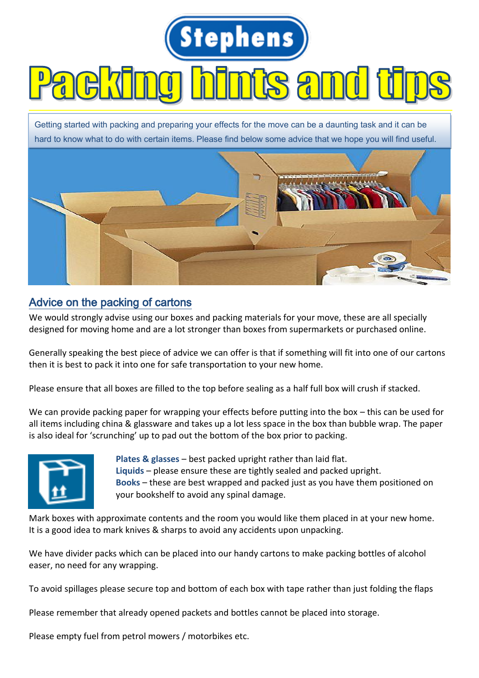

## Advice on the packing of cartons

We would strongly advise using our boxes and packing materials for your move, these are all specially designed for moving home and are a lot stronger than boxes from supermarkets or purchased online.

Generally speaking the best piece of advice we can offer is that if something will fit into one of our cartons then it is best to pack it into one for safe transportation to your new home.

Please ensure that all boxes are filled to the top before sealing as a half full box will crush if stacked.

We can provide packing paper for wrapping your effects before putting into the box – this can be used for all items including china & glassware and takes up a lot less space in the box than bubble wrap. The paper is also ideal for 'scrunching' up to pad out the bottom of the box prior to packing.



**Plates & glasses** – best packed upright rather than laid flat. **Liquids** – please ensure these are tightly sealed and packed upright. **Books** – these are best wrapped and packed just as you have them positioned on your bookshelf to avoid any spinal damage.

Mark boxes with approximate contents and the room you would like them placed in at your new home. It is a good idea to mark knives & sharps to avoid any accidents upon unpacking.

We have divider packs which can be placed into our handy cartons to make packing bottles of alcohol easer, no need for any wrapping.

To avoid spillages please secure top and bottom of each box with tape rather than just folding the flaps

Please remember that already opened packets and bottles cannot be placed into storage.

Please empty fuel from petrol mowers / motorbikes etc.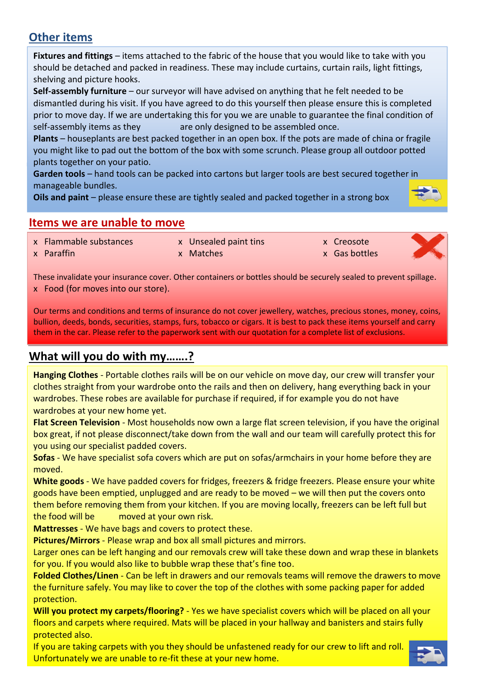# **Other items**

**Fixtures and fittings** – items attached to the fabric of the house that you would like to take with you should be detached and packed in readiness. These may include curtains, curtain rails, light fittings, shelving and picture hooks.

**Self-assembly furniture** – our surveyor will have advised on anything that he felt needed to be dismantled during his visit. If you have agreed to do this yourself then please ensure this is completed prior to move day. If we are undertaking this for you we are unable to guarantee the final condition of self-assembly items as they are only designed to be assembled once.

**Plants** – houseplants are best packed together in an open box. If the pots are made of china or fragile you might like to pad out the bottom of the box with some scrunch. Please group all outdoor potted plants together on your patio.

**Garden tools** – hand tools can be packed into cartons but larger tools are best secured together in manageable bundles.

**Oils and paint** – please ensure these are tightly sealed and packed together in a strong box



# **Items we are unable to move**

- x Flammable substances x Unsealed paint tins x Creosote
- 
- 



ı

x Paraffin x Matches x Gas bottles

These invalidate your insurance cover. Other containers or bottles should be securely sealed to prevent spillage. x Food (for moves into our store).

Our terms and conditions and terms of insurance do not cover jewellery, watches, precious stones, money, coins, bullion, deeds, bonds, securities, stamps, furs, tobacco or cigars. It is best to pack these items yourself and carry them in the car. Please refer to the paperwork sent with our quotation for a complete list of exclusions.

# **What will you do with my…….?**

**Hanging Clothes** - Portable clothes rails will be on our vehicle on move day, our crew will transfer your clothes straight from your wardrobe onto the rails and then on delivery, hang everything back in your wardrobes. These robes are available for purchase if required, if for example you do not have wardrobes at your new home yet.

**Flat Screen Television** - Most households now own a large flat screen television, if you have the original box great, if not please disconnect/take down from the wall and our team will carefully protect this for you using our specialist padded covers.

**Sofas** - We have specialist sofa covers which are put on sofas/armchairs in your home before they are moved.

**White goods** - We have padded covers for fridges, freezers & fridge freezers. Please ensure your white goods have been emptied, unplugged and are ready to be moved – we will then put the covers onto them before removing them from your kitchen. If you are moving locally, freezers can be left full but the food will be moved at your own risk.

**Mattresses** - We have bags and covers to protect these.

**Pictures/Mirrors** - Please wrap and box all small pictures and mirrors.

Larger ones can be left hanging and our removals crew will take these down and wrap these in blankets for you. If you would also like to bubble wrap these that's fine too.

**Folded Clothes/Linen** - Can be left in drawers and our removals teams will remove the drawers to move the furniture safely. You may like to cover the top of the clothes with some packing paper for added protection.

**Will you protect my carpets/flooring?** - Yes we have specialist covers which will be placed on all your floors and carpets where required. Mats will be placed in your hallway and banisters and stairs fully protected also.

If you are taking carpets with you they should be unfastened ready for our crew to lift and roll. Unfortunately we are unable to re-fit these at your new home.

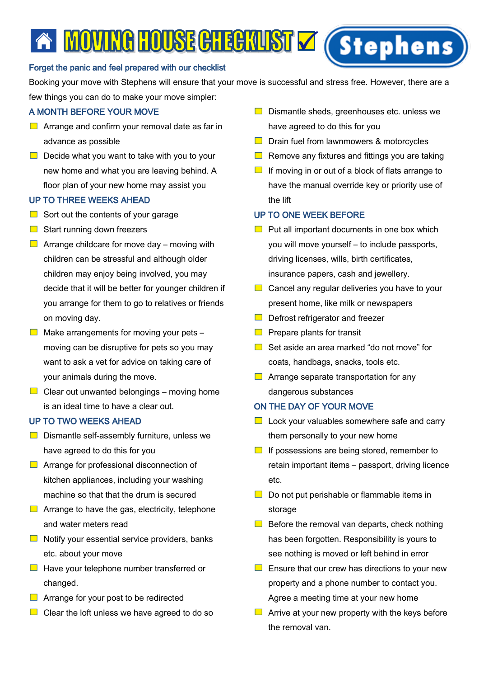# A MOVINGHOUSE CHECKUST V (Stephens

## Forget the panic and feel prepared with our checklist

Booking your move with Stephens will ensure that your move is successful and stress free. However, there are a few things you can do to make your move simpler:

## A MONTH BEFORE YOUR MOVE

- $\Box$  Arrange and confirm your removal date as far in advance as possible
- $\Box$  Decide what you want to take with you to your new home and what you are leaving behind. A floor plan of your new home may assist you

## UP TO THREE WEEKS AHEAD

- $\Box$  Sort out the contents of your garage
- $\Box$  Start running down freezers
- $\Box$  Arrange childcare for move day moving with children can be stressful and although older children may enjoy being involved, you may decide that it will be better for younger children if you arrange for them to go to relatives or friends on moving day.
- $\Box$  Make arrangements for moving your pets moving can be disruptive for pets so you may want to ask a vet for advice on taking care of your animals during the move.
- $\Box$  Clear out unwanted belongings moving home is an ideal time to have a clear out.

#### UP TO TWO WEEKS AHEAD

- $\Box$  Dismantle self-assembly furniture, unless we have agreed to do this for you
- **E** Arrange for professional disconnection of kitchen appliances, including your washing machine so that that the drum is secured
- $\Box$  Arrange to have the gas, electricity, telephone and water meters read
- $\Box$  Notify your essential service providers, banks etc. about your move
- $\Box$  Have your telephone number transferred or changed.
- $\Box$  Arrange for your post to be redirected
- $\Box$  Clear the loft unless we have agreed to do so
- $\Box$  Dismantle sheds, greenhouses etc. unless we have agreed to do this for you
- $\Box$  Drain fuel from lawnmowers & motorcycles
- $\Box$  Remove any fixtures and fittings you are taking
- $\Box$  If moving in or out of a block of flats arrange to have the manual override key or priority use of the lift

### UP TO ONE WEEK BEFORE

- $\Box$  Put all important documents in one box which you will move yourself – to include passports, driving licenses, wills, birth certificates, insurance papers, cash and jewellery.
- $\Box$  Cancel any regular deliveries you have to your present home, like milk or newspapers
- $\Box$  Defrost refrigerator and freezer
- $\Box$  Prepare plants for transit
- $\Box$  Set aside an area marked "do not move" for coats, handbags, snacks, tools etc.
- $\Box$  Arrange separate transportation for any dangerous substances

## ON THE DAY OF YOUR MOVE

- $\Box$  Lock your valuables somewhere safe and carry them personally to your new home
- $\Box$  If possessions are being stored, remember to retain important items – passport, driving licence etc.
- $\Box$  Do not put perishable or flammable items in storage
- $\Box$  Before the removal van departs, check nothing has been forgotten. Responsibility is yours to see nothing is moved or left behind in error
- $\Box$  Ensure that our crew has directions to your new property and a phone number to contact you. Agree a meeting time at your new home
- $\Box$  Arrive at your new property with the keys before the removal van.